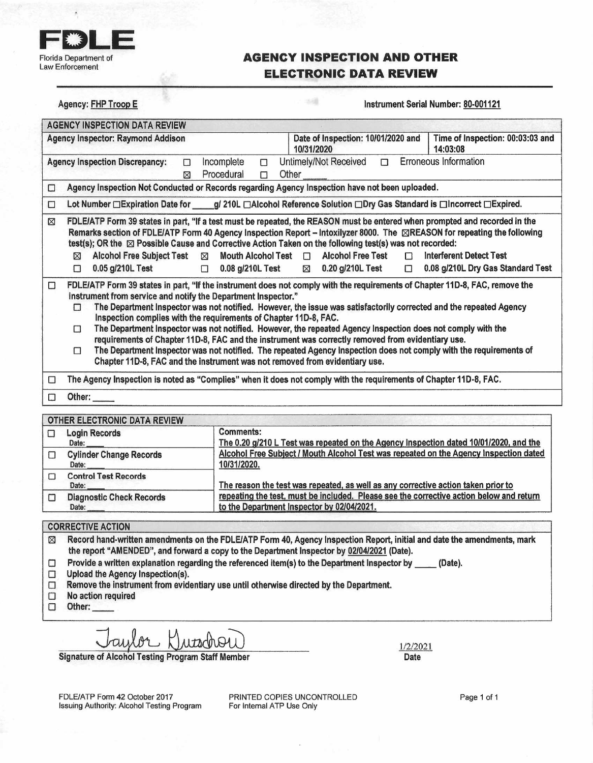

Agency: FHP Troop E

### **AGENCY INSPECTION AND OTHER ELECTRONIC DATA REVIEW**

sai

Instrument Serial Number: 80-001121

|   | Time of Inspection: 00:03:03 and<br>Agency Inspector: Raymond Addison<br>Date of Inspection: 10/01/2020 and<br>10/31/2020<br>14:03:08                                                                                                                                                                                                                                                                                                                                                                                                                                                                                                                                                                                                                                                                                                    |
|---|------------------------------------------------------------------------------------------------------------------------------------------------------------------------------------------------------------------------------------------------------------------------------------------------------------------------------------------------------------------------------------------------------------------------------------------------------------------------------------------------------------------------------------------------------------------------------------------------------------------------------------------------------------------------------------------------------------------------------------------------------------------------------------------------------------------------------------------|
|   | Erroneous Information<br>Incomplete<br>Untimely/Not Received<br><b>Agency Inspection Discrepancy:</b><br>П<br>$\Box$<br>Ω<br>Procedural<br>Other<br>П<br>⊠                                                                                                                                                                                                                                                                                                                                                                                                                                                                                                                                                                                                                                                                               |
| О | Agency Inspection Not Conducted or Records regarding Agency Inspection have not been uploaded.                                                                                                                                                                                                                                                                                                                                                                                                                                                                                                                                                                                                                                                                                                                                           |
| □ | Lot Number □ Expiration Date for g/ 210L □ Alcohol Reference Solution □ Dry Gas Standard is □ Incorrect □ Expired.                                                                                                                                                                                                                                                                                                                                                                                                                                                                                                                                                                                                                                                                                                                       |
| ⊠ | FDLE/ATP Form 39 states in part, "If a test must be repeated, the REASON must be entered when prompted and recorded in the<br>Remarks section of FDLE/ATP Form 40 Agency Inspection Report – Intoxilyzer 8000. The ⊠REASON for repeating the following<br>test(s); OR the ⊠ Possible Cause and Corrective Action Taken on the following test(s) was not recorded:<br><b>Alcohol Free Test</b><br><b>Alcohol Free Subject Test</b><br>Mouth Alcohol Test $\Box$<br>Interferent Detect Test<br>$\boxtimes$<br>⊠<br>$\Box$<br>0.05 g/210L Test<br>⊠ 0.20 g/210L Test<br>0.08 g/210L Dry Gas Standard Test<br>0.08 g/210L Test<br>$\Box$<br>П<br>$\Box$                                                                                                                                                                                      |
| □ | FDLE/ATP Form 39 states in part, "If the instrument does not comply with the requirements of Chapter 11D-8, FAC, remove the<br>instrument from service and notify the Department Inspector."<br>The Department Inspector was not notified. However, the issue was satisfactorily corrected and the repeated Agency<br>П<br>Inspection complies with the requirements of Chapter 11D-8, FAC.<br>The Department Inspector was not notified. However, the repeated Agency Inspection does not comply with the<br>$\Box$<br>requirements of Chapter 11D-8, FAC and the instrument was correctly removed from evidentiary use.<br>The Department Inspector was not notified. The repeated Agency Inspection does not comply with the requirements of<br>$\Box$<br>Chapter 11D-8, FAC and the instrument was not removed from evidentiary use. |
| П | The Agency Inspection is noted as "Complies" when it does not comply with the requirements of Chapter 11D-8, FAC.                                                                                                                                                                                                                                                                                                                                                                                                                                                                                                                                                                                                                                                                                                                        |
| П | Other:                                                                                                                                                                                                                                                                                                                                                                                                                                                                                                                                                                                                                                                                                                                                                                                                                                   |

| $\Box$ | <b>Login Records</b>            | <b>Comments:</b>                                                                        |
|--------|---------------------------------|-----------------------------------------------------------------------------------------|
|        | Date:                           | The 0.20 g/210 L Test was repeated on the Agency Inspection dated 10/01/2020, and the   |
|        | <b>Cylinder Change Records</b>  | Alcohol Free Subject / Mouth Alcohol Test was repeated on the Agency Inspection dated   |
|        | Date:                           | 10/31/2020.                                                                             |
|        | <b>Control Test Records</b>     |                                                                                         |
|        | Date:                           | The reason the test was repeated, as well as any corrective action taken prior to       |
| $\Box$ | <b>Diagnostic Check Records</b> | repeating the test, must be included. Please see the corrective action below and return |
|        | Date:                           | to the Department Inspector by 02/04/2021.                                              |

### **CORRECTIVE ACTION**

 $\boxtimes$ Record hand-written amendments on the FDLE/ATP Form 40, Agency Inspection Report, initial and date the amendments, mark the report "AMENDED", and forward a copy to the Department Inspector by 02/04/2021 (Date).

 $\Box$ Provide a written explanation regarding the referenced item(s) to the Department Inspector by \_\_\_\_\_ (Date).

- $\Box$ Upload the Agency Inspection(s).
- $\Box$ Remove the instrument from evidentiary use until otherwise directed by the Department.
- $\Box$ No action required

 $\Box$ Other:

aylor Duschou

**Signature of Alcohol Testing Program Staff Member** 

1/2/2021 Date

FDLE/ATP Form 42 October 2017 Issuing Authority: Alcohol Testing Program PRINTED COPIES UNCONTROLLED For Internal ATP Use Only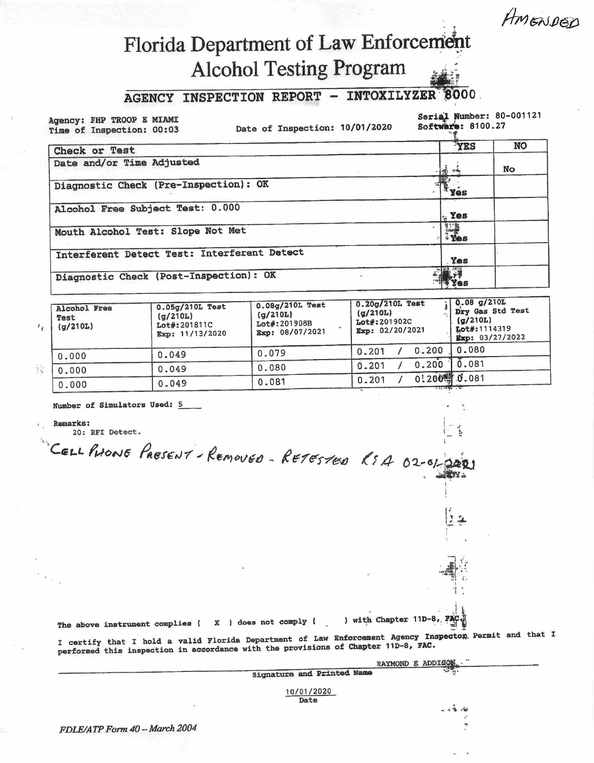AMENDED

# Florida Department of Law Enforcement **Alcohol Testing Program**

#### AGENCY INSPECTION REPORT - INTOXILYZER 8000

Agency: FHP TROOP E MIAMI Time of Inspection: 00:03

Date of Inspection: 10/01/2020

Serial Number: 80-001121 Software: 8100.27

|                                             |                  | <b>NO</b> |
|---------------------------------------------|------------------|-----------|
| Check or Test                               | YES              |           |
| Date and/or Time Adjusted                   | <b>第一章</b>       | No        |
| Diagnostic Check (Pre-Inspection): OK       | $x_{\text{yes}}$ |           |
| Alcohol Free Subject Test: 0.000            | $\sim$ Yes       |           |
| Mouth Alcohol Test: Slope Not Met           |                  |           |
| Interferent Detect Test: Interferent Detect | Yes              |           |
| Diagnostic Check (Post-Inspection): OK      |                  |           |

| Alcohol Free<br>Test<br>(q/210L) | $0.05q/210L$ Test<br>$\left(\frac{\alpha}{210}\right)$<br>Lot#:201811C<br>Exp: 11/13/2020 | 0.08g/210L Test<br>$\alpha/210L$<br>Lot#:201908B<br>Exp: 08/07/2021 | 0.20g/210L Test<br>(q/210L)<br>Lot#:201902C<br>Exp: 02/20/2021 | $\frac{1}{2}$ 0.08 g/210L<br>Dry Gas Std Test<br>(g/210L)<br>Lot#:1114319<br>Exp: 03/27/2022 |  |
|----------------------------------|-------------------------------------------------------------------------------------------|---------------------------------------------------------------------|----------------------------------------------------------------|----------------------------------------------------------------------------------------------|--|
| 0.000                            | 0.049                                                                                     | 0.079                                                               | 0.200<br>0.201                                                 | 0.080                                                                                        |  |
| 0.000                            | 0.049                                                                                     | 0.080                                                               | 0.200<br>0.201                                                 | 0.081                                                                                        |  |
| 0.000                            | 0.049                                                                                     | 0.081                                                               | 0:2004 0.081<br>0.201                                          |                                                                                              |  |

CELL PHONE PRESENT-REMOVED - RETESTED RSA 02-01-2021

X ) does not comply (

Number of Simulators Used: 5

**Remarks:** 

20: RFI Detect.

) with Chapter 11D-8, FA

I certify that I hold a valid Florida Department of Law Enforcement Agency Inspector Permit and that I performed this inspection in accordance with the provisions of Chapter 11D-8, FAC.

|                            | <br>RAYMOND E ADDISON.                                                                                                                                                                                                                                                                                                                                                                         |
|----------------------------|------------------------------------------------------------------------------------------------------------------------------------------------------------------------------------------------------------------------------------------------------------------------------------------------------------------------------------------------------------------------------------------------|
| Signature and Printed Name |                                                                                                                                                                                                                                                                                                                                                                                                |
| 10/01/2020<br>Date         |                                                                                                                                                                                                                                                                                                                                                                                                |
|                            | $\omega^2 = \frac{1}{2} \frac{1}{2} \frac{1}{2} \frac{1}{2} \frac{1}{2} \frac{1}{2} \frac{1}{2} \frac{1}{2} \frac{1}{2} \frac{1}{2} \frac{1}{2} \frac{1}{2} \frac{1}{2} \frac{1}{2} \frac{1}{2} \frac{1}{2} \frac{1}{2} \frac{1}{2} \frac{1}{2} \frac{1}{2} \frac{1}{2} \frac{1}{2} \frac{1}{2} \frac{1}{2} \frac{1}{2} \frac{1}{2} \frac{1}{2} \frac{1}{2} \frac{1}{2} \frac{1}{2} \frac{1}{$ |

FDLE/ATP Form 40 - March 2004

The above instrument complies (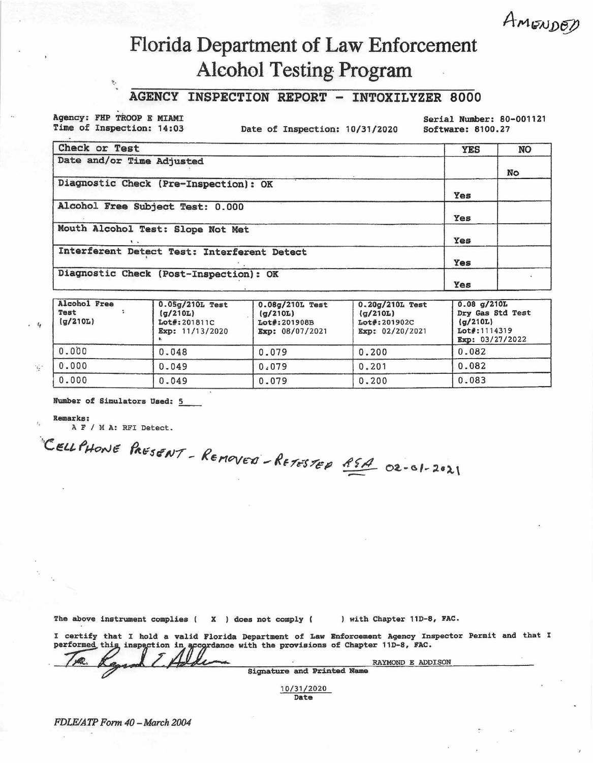# AMENDED

## Florida Department of Law Enforcement **Alcohol Testing Program**

### AGENCY INSPECTION REPORT - INTOXILYZER 8000

Agency: FHP TROOP E MIAMI Time of Inspection: 14:03

 $\mathcal{D}_\mathcal{A}$ 

Date of Inspection: 10/31/2020

Serial Number: 80-001121 Software: 8100.27

| Check or Test                               | <b>YES</b> | <b>NO</b> |
|---------------------------------------------|------------|-----------|
| Date and/or Time Adjusted                   |            |           |
|                                             |            | No        |
| Diagnostic Check (Pre-Inspection): OK       |            |           |
|                                             | Yes        |           |
| Alcohol Free Subject Test: 0.000            |            |           |
|                                             | Yes        |           |
| Mouth Alcohol Test: Slope Not Met           |            |           |
|                                             | Yes        |           |
| Interferent Detect Test: Interferent Detect |            |           |
|                                             | Yes        |           |
| Diagnostic Check (Post-Inspection): OK      |            |           |
|                                             | Yes        |           |

| Alcohol Free<br>Test<br>(q/210L) | $0.05q/210L$ Test<br>(g/210L)<br>Lot#:201811C<br>Exp: 11/13/2020 | 0.08g/210L Test<br>(q/210L)<br>Lot#:201908B<br>Exp: 08/07/2021 | $0.20q/210L$ Test<br>(q/210L)<br>Lot#:201902C<br>Exp: 02/20/2021 | $0.08$ q/210L<br>Dry Gas Std Test<br>(q/210L)<br>Lot#:1114319<br>Exp: 03/27/2022 |  |  |
|----------------------------------|------------------------------------------------------------------|----------------------------------------------------------------|------------------------------------------------------------------|----------------------------------------------------------------------------------|--|--|
| 0.000                            | 0.048                                                            | 0.079                                                          | 0.200                                                            | 0.082                                                                            |  |  |
| 0.000                            | 0.049                                                            | 0.079                                                          | 0.201                                                            | 0.082                                                                            |  |  |
| 0.000                            | 0.049                                                            | 0.079                                                          | 0.200                                                            | 0.083                                                                            |  |  |

Number of Simulators Used: 5

**Remarks:** 

 $\cdot$   $\frac{1}{4}$ 

 $\mathcal{L}$  :

ž,

A F / M A: RFI Detect.

CELLPHONE PRESENT - REMOVED - RETESTED REA 02-01-2021

The above instrument complies ( $X$ ) does not comply (

) with Chapter 11D-8, FAC.

|  |  |  |  | I certify that I hold a valid Florida Department of Law Enforcement Agency Inspector Permit and that I    |                   |  |  |
|--|--|--|--|-----------------------------------------------------------------------------------------------------------|-------------------|--|--|
|  |  |  |  |                                                                                                           |                   |  |  |
|  |  |  |  |                                                                                                           |                   |  |  |
|  |  |  |  | performed this inspection in accordance with the provisions of Chapter 11D-8, FAC.<br>The Raymond Z Aller | RAYMOND E ADDISON |  |  |
|  |  |  |  | Signature and Printed Name                                                                                |                   |  |  |

10/31/2020 Date

FDLE/ATP Form 40 - March 2004